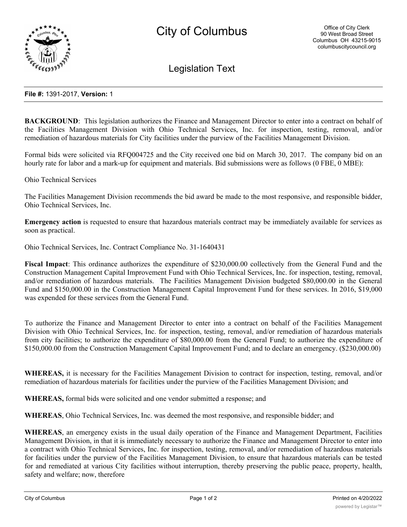

Legislation Text

## **File #:** 1391-2017, **Version:** 1

**BACKGROUND:** This legislation authorizes the Finance and Management Director to enter into a contract on behalf of the Facilities Management Division with Ohio Technical Services, Inc. for inspection, testing, removal, and/or remediation of hazardous materials for City facilities under the purview of the Facilities Management Division.

Formal bids were solicited via RFQ004725 and the City received one bid on March 30, 2017. The company bid on an hourly rate for labor and a mark-up for equipment and materials. Bid submissions were as follows (0 FBE, 0 MBE):

Ohio Technical Services

The Facilities Management Division recommends the bid award be made to the most responsive, and responsible bidder, Ohio Technical Services, Inc.

**Emergency action** is requested to ensure that hazardous materials contract may be immediately available for services as soon as practical.

Ohio Technical Services, Inc. Contract Compliance No. 31-1640431

**Fiscal Impact**: This ordinance authorizes the expenditure of \$230,000.00 collectively from the General Fund and the Construction Management Capital Improvement Fund with Ohio Technical Services, Inc. for inspection, testing, removal, and/or remediation of hazardous materials. The Facilities Management Division budgeted \$80,000.00 in the General Fund and \$150,000.00 in the Construction Management Capital Improvement Fund for these services. In 2016, \$19,000 was expended for these services from the General Fund.

To authorize the Finance and Management Director to enter into a contract on behalf of the Facilities Management Division with Ohio Technical Services, Inc. for inspection, testing, removal, and/or remediation of hazardous materials from city facilities; to authorize the expenditure of \$80,000.00 from the General Fund; to authorize the expenditure of \$150,000.00 from the Construction Management Capital Improvement Fund; and to declare an emergency. (\$230,000.00)

**WHEREAS,** it is necessary for the Facilities Management Division to contract for inspection, testing, removal, and/or remediation of hazardous materials for facilities under the purview of the Facilities Management Division; and

**WHEREAS,** formal bids were solicited and one vendor submitted a response; and

**WHEREAS**, Ohio Technical Services, Inc. was deemed the most responsive, and responsible bidder; and

**WHEREAS**, an emergency exists in the usual daily operation of the Finance and Management Department, Facilities Management Division, in that it is immediately necessary to authorize the Finance and Management Director to enter into a contract with Ohio Technical Services, Inc. for inspection, testing, removal, and/or remediation of hazardous materials for facilities under the purview of the Facilities Management Division, to ensure that hazardous materials can be tested for and remediated at various City facilities without interruption, thereby preserving the public peace, property, health, safety and welfare; now, therefore